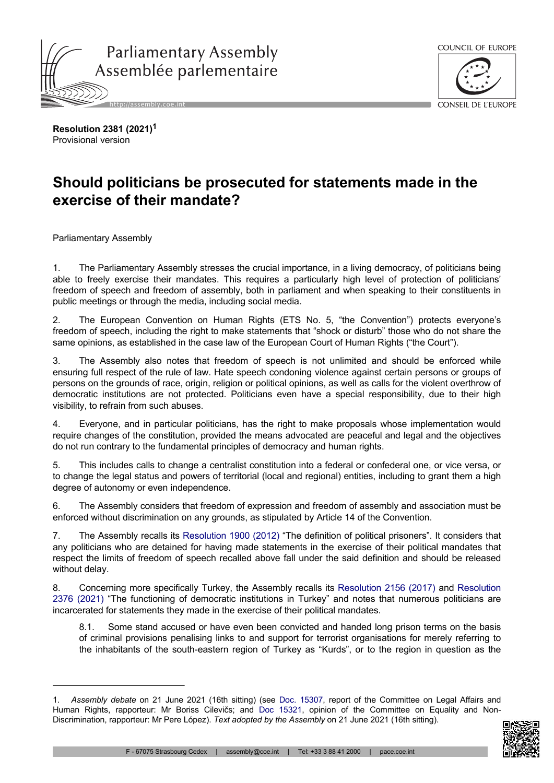



**Resolution 2381 (2021)<sup>1</sup>** Provisional version

## **Should politicians be prosecuted for statements made in the exercise of their mandate?**

Parliamentary Assembly

1. The Parliamentary Assembly stresses the crucial importance, in a living democracy, of politicians being able to freely exercise their mandates. This requires a particularly high level of protection of politicians' freedom of speech and freedom of assembly, both in parliament and when speaking to their constituents in public meetings or through the media, including social media.

2. The European Convention on Human Rights (ETS No. 5, "the Convention") protects everyone's freedom of speech, including the right to make statements that "shock or disturb" those who do not share the same opinions, as established in the case law of the European Court of Human Rights ("the Court").

3. The Assembly also notes that freedom of speech is not unlimited and should be enforced while ensuring full respect of the rule of law. Hate speech condoning violence against certain persons or groups of persons on the grounds of race, origin, religion or political opinions, as well as calls for the violent overthrow of democratic institutions are not protected. Politicians even have a special responsibility, due to their high visibility, to refrain from such abuses.

4. Everyone, and in particular politicians, has the right to make proposals whose implementation would require changes of the constitution, provided the means advocated are peaceful and legal and the objectives do not run contrary to the fundamental principles of democracy and human rights.

5. This includes calls to change a centralist constitution into a federal or confederal one, or vice versa, or to change the legal status and powers of territorial (local and regional) entities, including to grant them a high degree of autonomy or even independence.

6. The Assembly considers that freedom of expression and freedom of assembly and association must be enforced without discrimination on any grounds, as stipulated by Article 14 of the Convention.

7. The Assembly recalls its [Resolution](https://pace.coe.int/en/files/19150) 1900 (2012) "The definition of political prisoners". It considers that any politicians who are detained for having made statements in the exercise of their political mandates that respect the limits of freedom of speech recalled above fall under the said definition and should be released without delay.

8. Concerning more specifically Turkey, the Assembly recalls its [Resolution](https://pace.coe.int/en/files/23665) 2156 (2017) and [Resolution](https://pace.coe.int/en/files/29189)  2376 [\(2021\)](https://pace.coe.int/en/files/29189) "The functioning of democratic institutions in Turkey" and notes that numerous politicians are incarcerated for statements they made in the exercise of their political mandates.

8.1. Some stand accused or have even been convicted and handed long prison terms on the basis of criminal provisions penalising links to and support for terrorist organisations for merely referring to the inhabitants of the south-eastern region of Turkey as "Kurds", or to the region in question as the

<sup>1.</sup> *Assembly debate* on 21 June 2021 (16th sitting) (see Doc. [15307](https://pace.coe.int/en/files/29262), report of the Committee on Legal Affairs and Human Rights, rapporteur: Mr Boriss Cilevičs; and Doc [15321,](https://pace.coe.int/en/files/29271) opinion of the Committee on Equality and Non-Discrimination, rapporteur: Mr Pere López). *Text adopted by the Assembly* on 21 June 2021 (16th sitting).

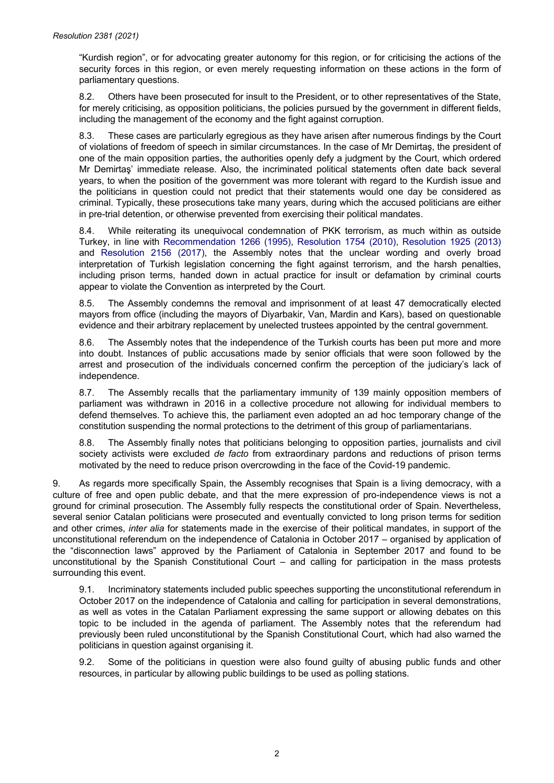"Kurdish region", or for advocating greater autonomy for this region, or for criticising the actions of the security forces in this region, or even merely requesting information on these actions in the form of parliamentary questions.

8.2. Others have been prosecuted for insult to the President, or to other representatives of the State, for merely criticising, as opposition politicians, the policies pursued by the government in different fields, including the management of the economy and the fight against corruption.

8.3. These cases are particularly egregious as they have arisen after numerous findings by the Court of violations of freedom of speech in similar circumstances. In the case of Mr Demirtaş, the president of one of the main opposition parties, the authorities openly defy a judgment by the Court, which ordered Mr Demirtaş' immediate release. Also, the incriminated political statements often date back several years, to when the position of the government was more tolerant with regard to the Kurdish issue and the politicians in question could not predict that their statements would one day be considered as criminal. Typically, these prosecutions take many years, during which the accused politicians are either in pre-trial detention, or otherwise prevented from exercising their political mandates.

8.4. While reiterating its unequivocal condemnation of PKK terrorism, as much within as outside Turkey, in line with [Recommendation](https://pace.coe.int/en/files/15300) 1266 (1995), [Resolution](https://pace.coe.int/en/files/17898) 1754 (2010), [Resolution](https://pace.coe.int/en/files/19668) 1925 (2013) and [Resolution](https://pace.coe.int/en/files/23665) 2156 (2017), the Assembly notes that the unclear wording and overly broad interpretation of Turkish legislation concerning the fight against terrorism, and the harsh penalties, including prison terms, handed down in actual practice for insult or defamation by criminal courts appear to violate the Convention as interpreted by the Court.

8.5. The Assembly condemns the removal and imprisonment of at least 47 democratically elected mayors from office (including the mayors of Diyarbakir, Van, Mardin and Kars), based on questionable evidence and their arbitrary replacement by unelected trustees appointed by the central government.

8.6. The Assembly notes that the independence of the Turkish courts has been put more and more into doubt. Instances of public accusations made by senior officials that were soon followed by the arrest and prosecution of the individuals concerned confirm the perception of the judiciary's lack of independence.

8.7. The Assembly recalls that the parliamentary immunity of 139 mainly opposition members of parliament was withdrawn in 2016 in a collective procedure not allowing for individual members to defend themselves. To achieve this, the parliament even adopted an ad hoc temporary change of the constitution suspending the normal protections to the detriment of this group of parliamentarians.

8.8. The Assembly finally notes that politicians belonging to opposition parties, journalists and civil society activists were excluded *de facto* from extraordinary pardons and reductions of prison terms motivated by the need to reduce prison overcrowding in the face of the Covid-19 pandemic.

9. As regards more specifically Spain, the Assembly recognises that Spain is a living democracy, with a culture of free and open public debate, and that the mere expression of pro-independence views is not a ground for criminal prosecution. The Assembly fully respects the constitutional order of Spain. Nevertheless, several senior Catalan politicians were prosecuted and eventually convicted to long prison terms for sedition and other crimes, *inter alia* for statements made in the exercise of their political mandates, in support of the unconstitutional referendum on the independence of Catalonia in October 2017 – organised by application of the "disconnection laws" approved by the Parliament of Catalonia in September 2017 and found to be unconstitutional by the Spanish Constitutional Court – and calling for participation in the mass protests surrounding this event.

9.1. Incriminatory statements included public speeches supporting the unconstitutional referendum in October 2017 on the independence of Catalonia and calling for participation in several demonstrations, as well as votes in the Catalan Parliament expressing the same support or allowing debates on this topic to be included in the agenda of parliament. The Assembly notes that the referendum had previously been ruled unconstitutional by the Spanish Constitutional Court, which had also warned the politicians in question against organising it.

9.2. Some of the politicians in question were also found guilty of abusing public funds and other resources, in particular by allowing public buildings to be used as polling stations.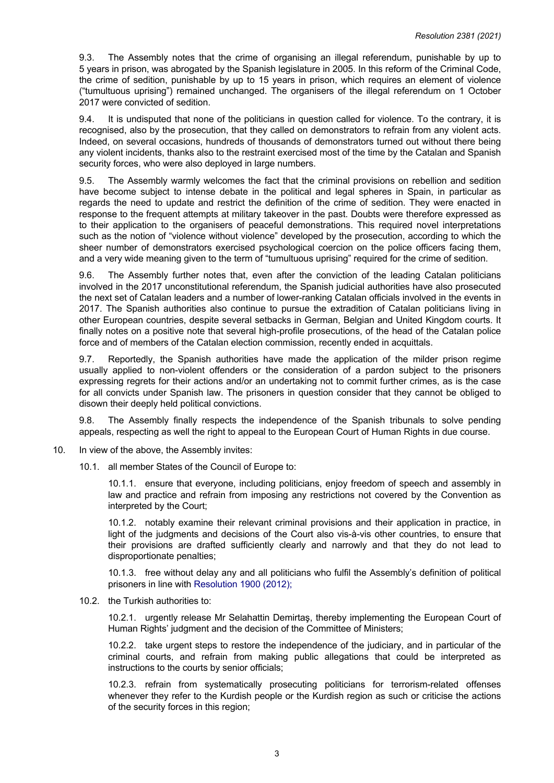9.3. The Assembly notes that the crime of organising an illegal referendum, punishable by up to 5 years in prison, was abrogated by the Spanish legislature in 2005. In this reform of the Criminal Code, the crime of sedition, punishable by up to 15 years in prison, which requires an element of violence ("tumultuous uprising") remained unchanged. The organisers of the illegal referendum on 1 October 2017 were convicted of sedition.

9.4. It is undisputed that none of the politicians in question called for violence. To the contrary, it is recognised, also by the prosecution, that they called on demonstrators to refrain from any violent acts. Indeed, on several occasions, hundreds of thousands of demonstrators turned out without there being any violent incidents, thanks also to the restraint exercised most of the time by the Catalan and Spanish security forces, who were also deployed in large numbers.

9.5. The Assembly warmly welcomes the fact that the criminal provisions on rebellion and sedition have become subject to intense debate in the political and legal spheres in Spain, in particular as regards the need to update and restrict the definition of the crime of sedition. They were enacted in response to the frequent attempts at military takeover in the past. Doubts were therefore expressed as to their application to the organisers of peaceful demonstrations. This required novel interpretations such as the notion of "violence without violence" developed by the prosecution, according to which the sheer number of demonstrators exercised psychological coercion on the police officers facing them, and a very wide meaning given to the term of "tumultuous uprising" required for the crime of sedition.

9.6. The Assembly further notes that, even after the conviction of the leading Catalan politicians involved in the 2017 unconstitutional referendum, the Spanish judicial authorities have also prosecuted the next set of Catalan leaders and a number of lower-ranking Catalan officials involved in the events in 2017. The Spanish authorities also continue to pursue the extradition of Catalan politicians living in other European countries, despite several setbacks in German, Belgian and United Kingdom courts. It finally notes on a positive note that several high-profile prosecutions, of the head of the Catalan police force and of members of the Catalan election commission, recently ended in acquittals.

9.7. Reportedly, the Spanish authorities have made the application of the milder prison regime usually applied to non-violent offenders or the consideration of a pardon subject to the prisoners expressing regrets for their actions and/or an undertaking not to commit further crimes, as is the case for all convicts under Spanish law. The prisoners in question consider that they cannot be obliged to disown their deeply held political convictions.

9.8. The Assembly finally respects the independence of the Spanish tribunals to solve pending appeals, respecting as well the right to appeal to the European Court of Human Rights in due course.

- 10. In view of the above, the Assembly invites:
	- 10.1. all member States of the Council of Europe to:

10.1.1. ensure that everyone, including politicians, enjoy freedom of speech and assembly in law and practice and refrain from imposing any restrictions not covered by the Convention as interpreted by the Court;

10.1.2. notably examine their relevant criminal provisions and their application in practice, in light of the judgments and decisions of the Court also vis-à-vis other countries, to ensure that their provisions are drafted sufficiently clearly and narrowly and that they do not lead to disproportionate penalties;

10.1.3. free without delay any and all politicians who fulfil the Assembly's definition of political prisoners in line with [Resolution 1900 \(2012\);](https://pace.coe.int/en/files/19150)

10.2. the Turkish authorities to:

10.2.1. urgently release Mr Selahattin Demirtaş, thereby implementing the European Court of Human Rights' judgment and the decision of the Committee of Ministers;

10.2.2. take urgent steps to restore the independence of the judiciary, and in particular of the criminal courts, and refrain from making public allegations that could be interpreted as instructions to the courts by senior officials;

10.2.3. refrain from systematically prosecuting politicians for terrorism-related offenses whenever they refer to the Kurdish people or the Kurdish region as such or criticise the actions of the security forces in this region;